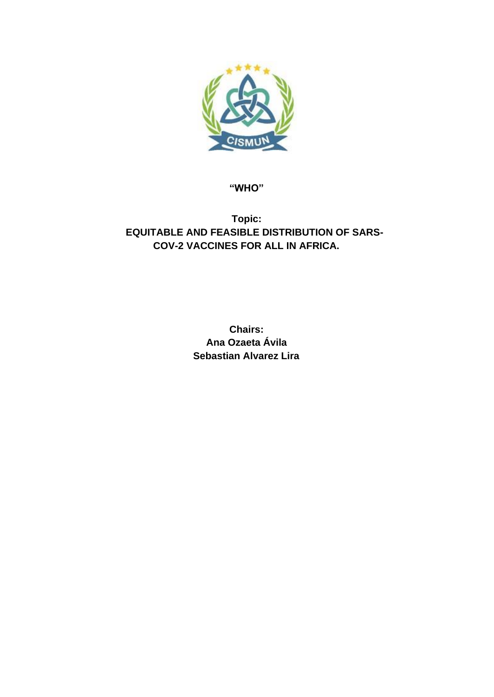

**"WHO"**

## **Topic: EQUITABLE AND FEASIBLE DISTRIBUTION OF SARS-COV-2 VACCINES FOR ALL IN AFRICA.**

**Chairs: Ana Ozaeta Ávila Sebastian Alvarez Lira**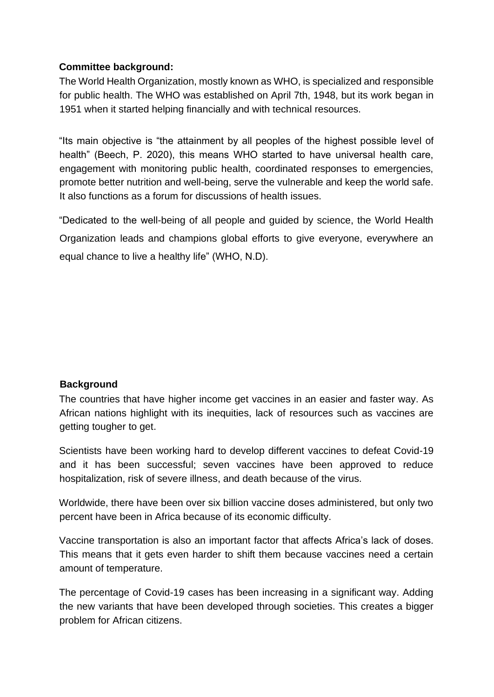### **Committee background:**

The World Health Organization, mostly known as WHO, is specialized and responsible for public health. The WHO was established on April 7th, 1948, but its work began in 1951 when it started helping financially and with technical resources.

"Its main objective is "the attainment by all peoples of the highest possible level of health" (Beech, P. 2020), this means WHO started to have universal health care, engagement with monitoring public health, coordinated responses to emergencies, promote better nutrition and well-being, serve the vulnerable and keep the world safe. It also functions as a forum for discussions of health issues.

"Dedicated to the well-being of all people and guided by science, the World Health Organization leads and champions global efforts to give everyone, everywhere an equal chance to live a healthy life" (WHO, N.D).

#### **Background**

The countries that have higher income get vaccines in an easier and faster way. As African nations highlight with its inequities, lack of resources such as vaccines are getting tougher to get.

Scientists have been working hard to develop different vaccines to defeat Covid-19 and it has been successful; seven vaccines have been approved to reduce hospitalization, risk of severe illness, and death because of the virus.

Worldwide, there have been over six billion vaccine doses administered, but only two percent have been in Africa because of its economic difficulty.

Vaccine transportation is also an important factor that affects Africa's lack of doses. This means that it gets even harder to shift them because vaccines need a certain amount of temperature.

The percentage of Covid-19 cases has been increasing in a significant way. Adding the new variants that have been developed through societies. This creates a bigger problem for African citizens.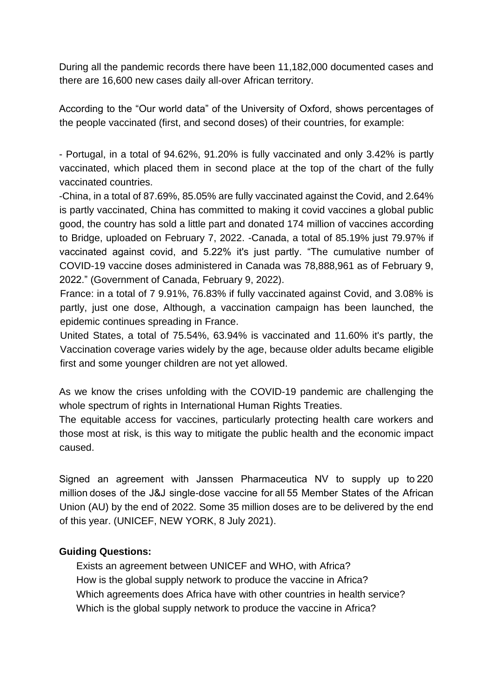During all the pandemic records there have been 11,182,000 documented cases and there are 16,600 new cases daily all-over African territory.

According to the "Our world data" of the University of Oxford, shows percentages of the people vaccinated (first, and second doses) of their countries, for example:

- Portugal, in a total of 94.62%, 91.20% is fully vaccinated and only 3.42% is partly vaccinated, which placed them in second place at the top of the chart of the fully vaccinated countries.

-China, in a total of 87.69%, 85.05% are fully vaccinated against the Covid, and 2.64% is partly vaccinated, China has committed to making it covid vaccines a global public good, the country has sold a little part and donated 174 million of vaccines according to Bridge, uploaded on February 7, 2022. -Canada, a total of 85.19% just 79.97% if vaccinated against covid, and 5.22% it's just partly. "The cumulative number of COVID-19 vaccine doses administered in Canada was 78,888,961 as of February 9, 2022." (Government of Canada, February 9, 2022).

France: in a total of 7 9.91%, 76.83% if fully vaccinated against Covid, and 3.08% is partly, just one dose, Although, a vaccination campaign has been launched, the epidemic continues spreading in France.

United States, a total of 75.54%, 63.94% is vaccinated and 11.60% it's partly, the Vaccination coverage varies widely by the age, because older adults became eligible first and some younger children are not yet allowed.

As we know the crises unfolding with the COVID-19 pandemic are challenging the whole spectrum of rights in International Human Rights Treaties.

The equitable access for vaccines, particularly protecting health care workers and those most at risk, is this way to mitigate the public health and the economic impact caused.

Signed an agreement with Janssen Pharmaceutica NV to supply up to 220 million doses of the J&J single-dose vaccine for all 55 Member States of the African Union (AU) by the end of 2022. Some 35 million doses are to be delivered by the end of this year. (UNICEF, NEW YORK, 8 July 2021).

#### **Guiding Questions:**

Exists an agreement between UNICEF and WHO, with Africa? How is the global supply network to produce the vaccine in Africa? Which agreements does Africa have with other countries in health service? Which is the global supply network to produce the vaccine in Africa?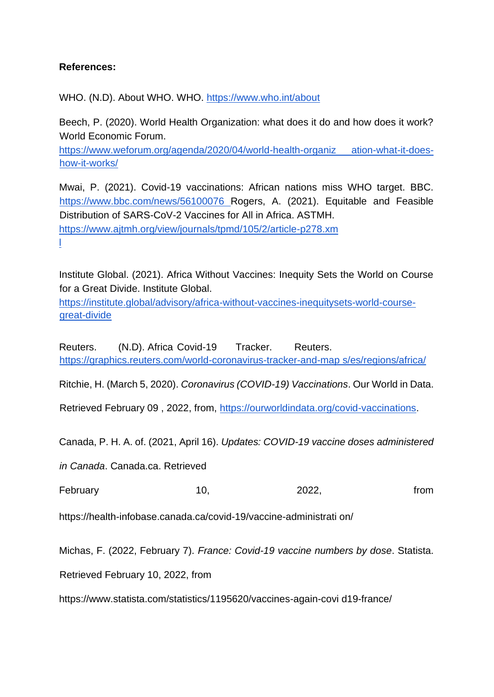#### **References:**

WHO. (N.D). About WHO. WHO.<https://www.who.int/about>

Beech, P. (2020). World Health Organization: what does it do and how does it work? World Economic Forum.

[https://www.weforum.org/agenda/2020/04/world-health-organiz ation-what-it-does](https://www.weforum.org/agenda/2020/04/world-health-organization-what-it-does-how-it-works/)[how-it-works/](https://www.weforum.org/agenda/2020/04/world-health-organization-what-it-does-how-it-works/)

Mwai, P. (2021). Covid-19 vaccinations: African nations miss WHO target. BBC. [https://www.bbc.com/news/56100076 R](https://www.bbc.com/news/56100076)ogers, A. (2021). Equitable and Feasible Distribution of SARS-CoV-2 Vaccines for All in Africa. ASTMH. [https://www.ajtmh.org/view/journals/tpmd/105/2/article-p278.xm](https://www.ajtmh.org/view/journals/tpmd/105/2/article-p278.xml) [l](https://www.ajtmh.org/view/journals/tpmd/105/2/article-p278.xml)

Institute Global. (2021). Africa Without Vaccines: Inequity Sets the World on Course for a Great Divide. Institute Global.

[https://institute.global/advisory/africa-without-vaccines-inequitysets-world-course](https://institute.global/advisory/africa-without-vaccines-inequity-sets-world-course-great-divide)[great-divide](https://institute.global/advisory/africa-without-vaccines-inequity-sets-world-course-great-divide)

Reuters. (N.D). Africa Covid-19 Tracker. Reuters. [https://graphics.reuters.com/world-coronavirus-tracker-and-map s/es/regions/africa/](https://graphics.reuters.com/world-coronavirus-tracker-and-maps/es/regions/africa/)

Ritchie, H. (March 5, 2020). *Coronavirus (COVID-19) Vaccinations*. Our World in Data.

Retrieved February 09 , 2022, from, [https://ourworldindata.org/covid-vaccinations.](https://ourworldindata.org/covid-vaccinations)

Canada, P. H. A. of. (2021, April 16). *Updates: COVID-19 vaccine doses administered* 

*in Canada*. Canada.ca. Retrieved

February 10, 10, 2022, from

https://health-infobase.canada.ca/covid-19/vaccine-administrati on/

Michas, F. (2022, February 7). *France: Covid-19 vaccine numbers by dose*. Statista.

Retrieved February 10, 2022, from

https://www.statista.com/statistics/1195620/vaccines-again-covi d19-france/